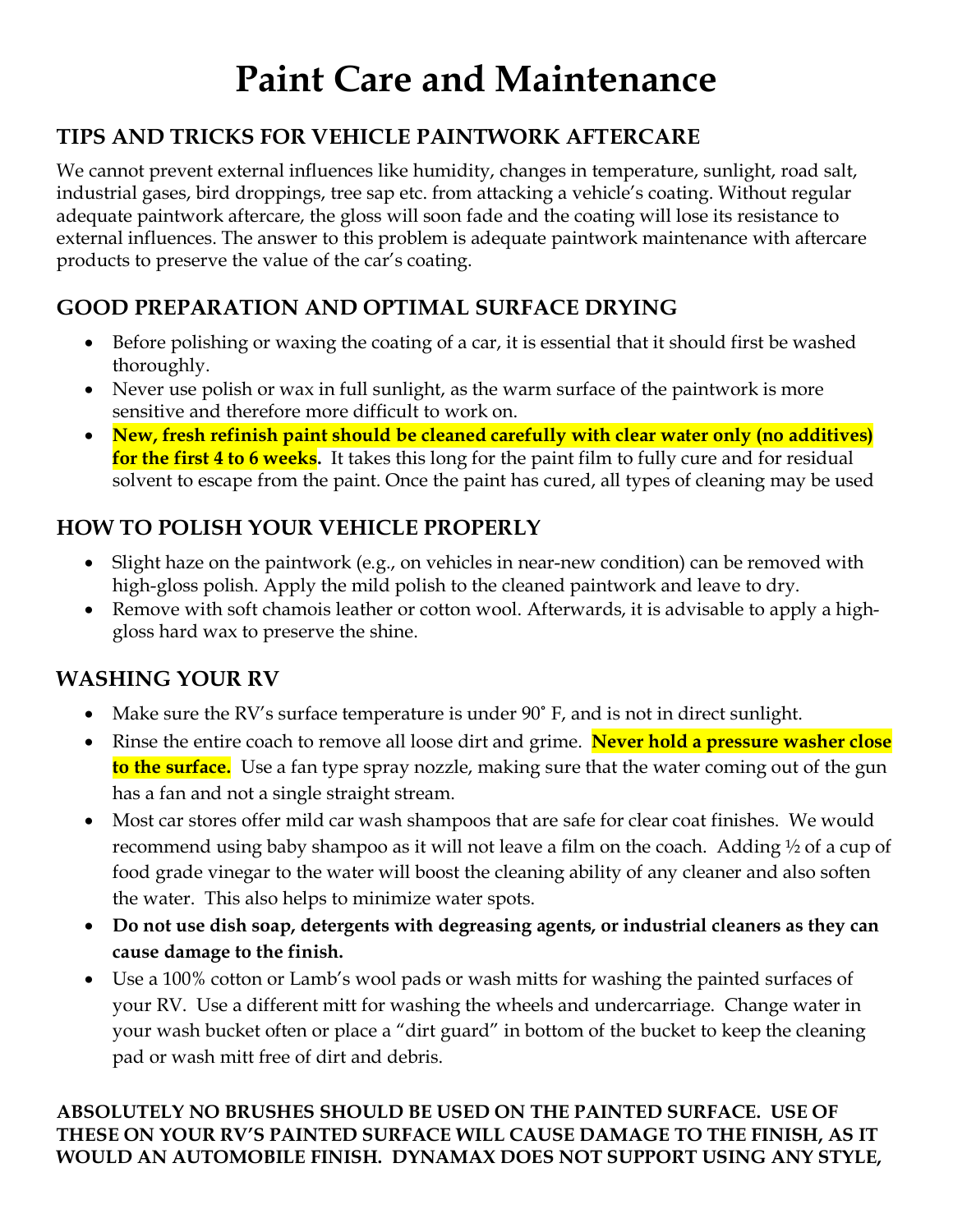# **Paint Care and Maintenance**

### **TIPS AND TRICKS FOR VEHICLE PAINTWORK AFTERCARE**

We cannot prevent external influences like humidity, changes in temperature, sunlight, road salt, industrial gases, bird droppings, tree sap etc. from attacking a vehicle's coating. Without regular adequate paintwork aftercare, the gloss will soon fade and the coating will lose its resistance to external influences. The answer to this problem is adequate paintwork maintenance with aftercare products to preserve the value of the car's coating.

## **GOOD PREPARATION AND OPTIMAL SURFACE DRYING**

- Before polishing or waxing the coating of a car, it is essential that it should first be washed thoroughly.
- Never use polish or wax in full sunlight, as the warm surface of the paintwork is more sensitive and therefore more difficult to work on.
- **New, fresh refinish paint should be cleaned carefully with clear water only (no additives) for the first 4 to 6 weeks.** It takes this long for the paint film to fully cure and for residual solvent to escape from the paint. Once the paint has cured, all types of cleaning may be used

## **HOW TO POLISH YOUR VEHICLE PROPERLY**

- Slight haze on the paintwork (e.g., on vehicles in near-new condition) can be removed with high-gloss polish. Apply the mild polish to the cleaned paintwork and leave to dry.
- Remove with soft chamois leather or cotton wool. Afterwards, it is advisable to apply a highgloss hard wax to preserve the shine.

### **WASHING YOUR RV**

- Make sure the RV's surface temperature is under 90˚ F, and is not in direct sunlight.
- Rinse the entire coach to remove all loose dirt and grime. **Never hold a pressure washer close to the surface.** Use a fan type spray nozzle, making sure that the water coming out of the gun has a fan and not a single straight stream.
- Most car stores offer mild car wash shampoos that are safe for clear coat finishes. We would recommend using baby shampoo as it will not leave a film on the coach. Adding ½ of a cup of food grade vinegar to the water will boost the cleaning ability of any cleaner and also soften the water. This also helps to minimize water spots.
- **Do not use dish soap, detergents with degreasing agents, or industrial cleaners as they can cause damage to the finish.**
- Use a 100% cotton or Lamb's wool pads or wash mitts for washing the painted surfaces of your RV. Use a different mitt for washing the wheels and undercarriage. Change water in your wash bucket often or place a "dirt guard" in bottom of the bucket to keep the cleaning pad or wash mitt free of dirt and debris.

#### **ABSOLUTELY NO BRUSHES SHOULD BE USED ON THE PAINTED SURFACE. USE OF THESE ON YOUR RV'S PAINTED SURFACE WILL CAUSE DAMAGE TO THE FINISH, AS IT WOULD AN AUTOMOBILE FINISH. DYNAMAX DOES NOT SUPPORT USING ANY STYLE,**